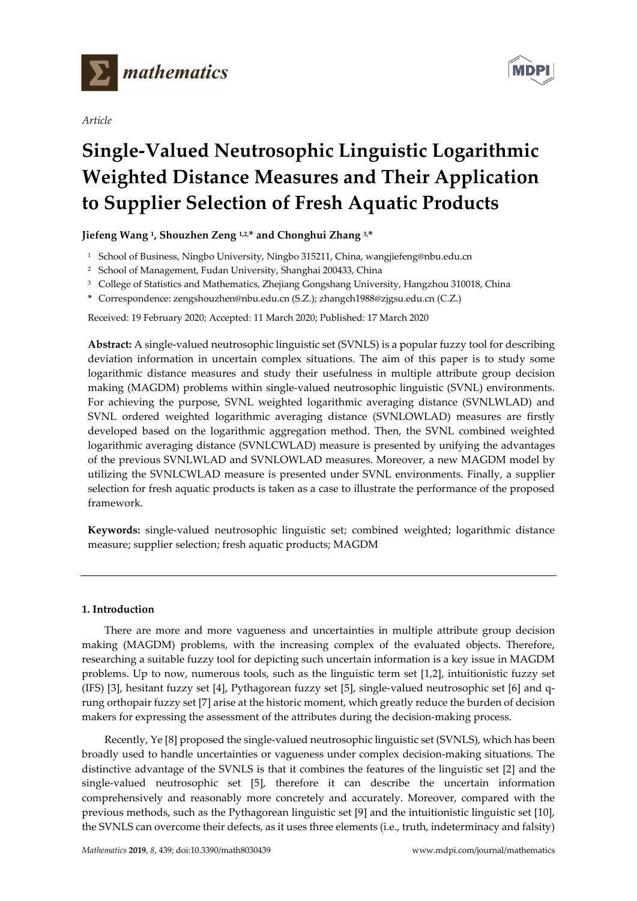

*Article*



# **Single-Valued Neutrosophic Linguistic Logarithmic Weighted Distance Measures and Their Application to Supplier Selection of Fresh Aquatic Products**

# **Jiefeng Wang 1, Shouzhen Zeng 1,2,\* and Chonghui Zhang 3,\***

- <sup>1</sup> School of Business, Ningbo University, Ningbo 315211, China, wangjiefeng@nbu.edu.cn
- <sup>2</sup> School of Management, Fudan University, Shanghai 200433, China
- <sup>3</sup> College of Statistics and Mathematics, Zhejiang Gongshang University, Hangzhou 310018, China
- **\*** Correspondence: zengshouzhen@nbu.edu.cn (S.Z.); zhangch1988@zjgsu.edu.cn (C.Z.)

Received: 19 February 2020; Accepted: 11 March 2020; Published: 17 March 2020

**Abstract:** A single-valued neutrosophic linguistic set (SVNLS) is a popular fuzzy tool for describing deviation information in uncertain complex situations. The aim of this paper is to study some logarithmic distance measures and study their usefulness in multiple attribute group decision making (MAGDM) problems within single-valued neutrosophic linguistic (SVNL) environments. For achieving the purpose, SVNL weighted logarithmic averaging distance (SVNLWLAD) and SVNL ordered weighted logarithmic averaging distance (SVNLOWLAD) measures are firstly developed based on the logarithmic aggregation method. Then, the SVNL combined weighted logarithmic averaging distance (SVNLCWLAD) measure is presented by unifying the advantages of the previous SVNLWLAD and SVNLOWLAD measures. Moreover, a new MAGDM model by utilizing the SVNLCWLAD measure is presented under SVNL environments. Finally, a supplier selection for fresh aquatic products is taken as a case to illustrate the performance of the proposed framework.

**Keywords:** single-valued neutrosophic linguistic set; combined weighted; logarithmic distance measure; supplier selection; fresh aquatic products; MAGDM

### **1. Introduction**

There are more and more vagueness and uncertainties in multiple attribute group decision making (MAGDM) problems, with the increasing complex of the evaluated objects. Therefore, researching a suitable fuzzy tool for depicting such uncertain information is a key issue in MAGDM problems. Up to now, numerous tools, such as the linguistic term set [1,2], intuitionistic fuzzy set (IFS) [3], hesitant fuzzy set [4], Pythagorean fuzzy set [5], single-valued neutrosophic set [6] and qrung orthopair fuzzy set [7] arise at the historic moment, which greatly reduce the burden of decision makers for expressing the assessment of the attributes during the decision-making process.

Recently, Ye [8] proposed the single-valued neutrosophic linguistic set (SVNLS), which has been broadly used to handle uncertainties or vagueness under complex decision-making situations. The distinctive advantage of the SVNLS is that it combines the features of the linguistic set [2] and the single-valued neutrosophic set [5], therefore it can describe the uncertain information comprehensively and reasonably more concretely and accurately. Moreover, compared with the previous methods, such as the Pythagorean linguistic set [9] and the intuitionistic linguistic set [10], the SVNLS can overcome their defects, as it uses three elements (i.e., truth, indeterminacy and falsity)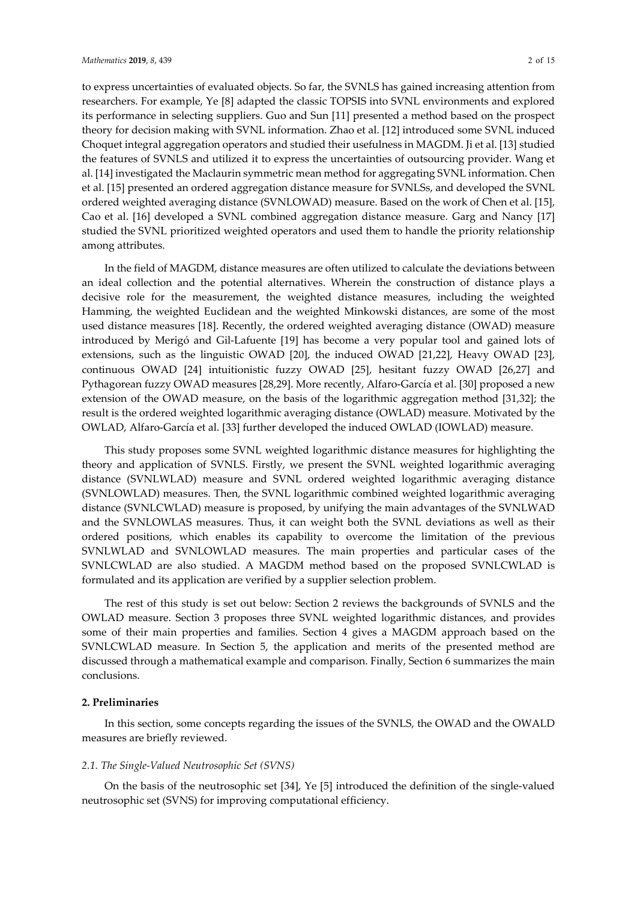to express uncertainties of evaluated objects. So far, the SVNLS has gained increasing attention from researchers. For example, Ye [8] adapted the classic TOPSIS into SVNL environments and explored its performance in selecting suppliers. Guo and Sun [11] presented a method based on the prospect theory for decision making with SVNL information. Zhao et al. [12] introduced some SVNL induced Choquet integral aggregation operators and studied their usefulness in MAGDM. Ji et al. [13] studied the features of SVNLS and utilized it to express the uncertainties of outsourcing provider. Wang et al. [14] investigated the Maclaurin symmetric mean method for aggregating SVNL information. Chen et al. [15] presented an ordered aggregation distance measure for SVNLSs, and developed the SVNL ordered weighted averaging distance (SVNLOWAD) measure. Based on the work of Chen et al. [15], Cao et al. [16] developed a SVNL combined aggregation distance measure. Garg and Nancy [17] studied the SVNL prioritized weighted operators and used them to handle the priority relationship among attributes.

In the field of MAGDM, distance measures are often utilized to calculate the deviations between an ideal collection and the potential alternatives. Wherein the construction of distance plays a decisive role for the measurement, the weighted distance measures, including the weighted Hamming, the weighted Euclidean and the weighted Minkowski distances, are some of the most used distance measures [18]. Recently, the ordered weighted averaging distance (OWAD) measure introduced by Merigó and Gil-Lafuente [19] has become a very popular tool and gained lots of extensions, such as the linguistic OWAD [20], the induced OWAD [21,22], Heavy OWAD [23], continuous OWAD [24] intuitionistic fuzzy OWAD [25], hesitant fuzzy OWAD [26,27] and Pythagorean fuzzy OWAD measures [28,29]. More recently, Alfaro-García et al. [30] proposed a new extension of the OWAD measure, on the basis of the logarithmic aggregation method [31,32]; the result is the ordered weighted logarithmic averaging distance (OWLAD) measure. Motivated by the OWLAD, Alfaro-García et al. [33] further developed the induced OWLAD (IOWLAD) measure.

This study proposes some SVNL weighted logarithmic distance measures for highlighting the theory and application of SVNLS. Firstly, we present the SVNL weighted logarithmic averaging distance (SVNLWLAD) measure and SVNL ordered weighted logarithmic averaging distance (SVNLOWLAD) measures. Then, the SVNL logarithmic combined weighted logarithmic averaging distance (SVNLCWLAD) measure is proposed, by unifying the main advantages of the SVNLWAD and the SVNLOWLAS measures. Thus, it can weight both the SVNL deviations as well as their ordered positions, which enables its capability to overcome the limitation of the previous SVNLWLAD and SVNLOWLAD measures. The main properties and particular cases of the SVNLCWLAD are also studied. A MAGDM method based on the proposed SVNLCWLAD is formulated and its application are verified by a supplier selection problem.

The rest of this study is set out below: Section 2 reviews the backgrounds of SVNLS and the OWLAD measure. Section 3 proposes three SVNL weighted logarithmic distances, and provides some of their main properties and families. Section 4 gives a MAGDM approach based on the SVNLCWLAD measure. In Section 5, the application and merits of the presented method are discussed through a mathematical example and comparison. Finally, Section 6 summarizes the main conclusions.

#### **2. Preliminaries**

In this section, some concepts regarding the issues of the SVNLS, the OWAD and the OWALD measures are briefly reviewed.

# *2.1. The Single-Valued Neutrosophic Set (SVNS)*

On the basis of the neutrosophic set [34], Ye [5] introduced the definition of the single-valued neutrosophic set (SVNS) for improving computational efficiency.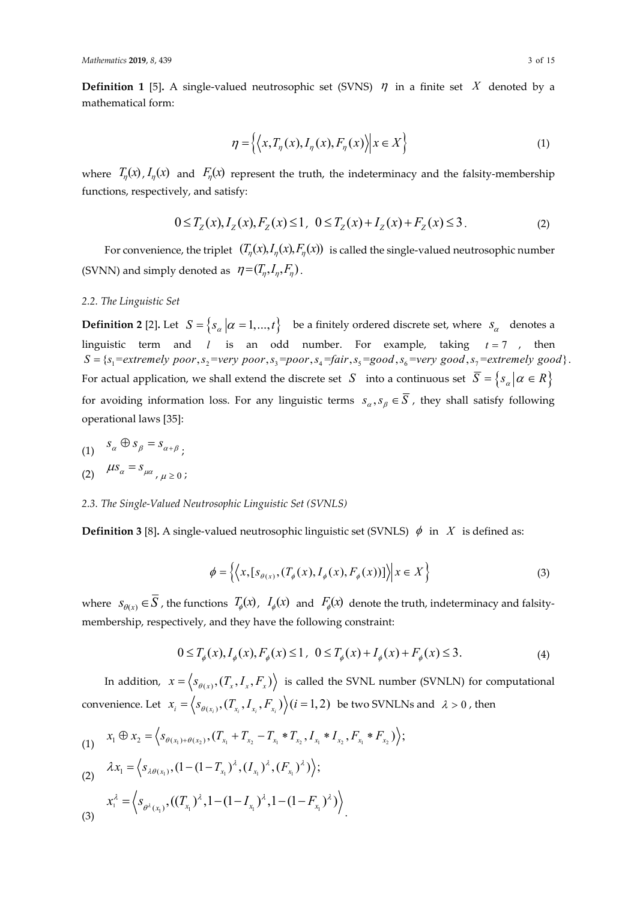**Definition 1** [5]. A single-valued neutrosophic set (SVNS)  $\eta$  in a finite set X denoted by a mathematical form:

$$
\eta = \left\{ \left\langle x, T_{\eta}(x), I_{\eta}(x), F_{\eta}(x) \right\rangle \middle| x \in X \right\}
$$
\n<sup>(1)</sup>

where  $T_n(x)$ ,  $I_n(x)$  and  $F_n(x)$  represent the truth, the indeterminacy and the falsity-membership functions, respectively, and satisfy:

$$
0 \le T_Z(x), I_Z(x), F_Z(x) \le 1, \ \ 0 \le T_Z(x) + I_Z(x) + F_Z(x) \le 3. \tag{2}
$$

For convenience, the triplet  $(T_n(x), T_n(x), F_n(x))$  is called the single-valued neutrosophic number (SVNN) and simply denoted as  $\eta = (T_n, I_n, F_n)$ .

#### *2.2. The Linguistic Set*

**Definition 2** [2]. Let  $S = \{s_\alpha \mid \alpha = 1, ..., t\}$  be a finitely ordered discrete set, where  $s_\alpha$  denotes a linguistic term and *l* is an odd number. For example, taking  $t = 7$ , then  $S = \{s_1 = \text{extremely poor}, s_2 = \text{very poor}, s_3 = \text{poor}, s_4 = \text{fair}, s_5 = \text{good}, s_6 = \text{very good}, s_7 = \text{extremely good}\}.$ For actual application, we shall extend the discrete set *S* into a continuous set  $\overline{S} = \{s_\alpha | \alpha \in R\}$ for avoiding information loss. For any linguistic terms  $s_\alpha, s_\beta \in \overline{S}$ , they shall satisfy following operational laws [35]:

(1)  $s_{\alpha} \oplus s_{\beta} = s_{\alpha+\beta}$ .

$$
(2) \quad \mu s_{\alpha} = s_{\mu \alpha}, \mu \geq 0;
$$

## *2.3. The Single-Valued Neutrosophic Linguistic Set (SVNLS)*

**Definition 3** [8]. A single-valued neutrosophic linguistic set (SVNLS)  $\phi$  in *X* is defined as:

$$
\phi = \left\{ \left\langle x, [s_{\theta(x)}, (T_{\phi}(x), I_{\phi}(x), F_{\phi}(x))] \right\rangle \middle| x \in X \right\}
$$
\n(3)

where  $S_{\theta(x)} \in S$ , the functions  $T_{\phi}(x)$ ,  $I_{\phi}(x)$  and  $F_{\phi}(x)$  denote the truth, indeterminacy and falsitymembership, respectively, and they have the following constraint:

$$
0 \le T_{\phi}(x), I_{\phi}(x), F_{\phi}(x) \le 1, \ \ 0 \le T_{\phi}(x) + I_{\phi}(x) + F_{\phi}(x) \le 3. \tag{4}
$$

In addition,  $x = \langle s_{\theta(x)}, (T_x, I_x, F_x) \rangle$  is called the SVNL number (SVNLN) for computational convenience. Let  $x_i = \langle s_{\theta(x_i)}, (T_{x_i}, I_{x_i}, F_{x_i}) \rangle$   $(i = 1, 2)$  be two SVNLNs and  $\lambda > 0$ , then

(1) 
$$
x_1 \oplus x_2 = \left\langle s_{\theta(x_1)+\theta(x_2)}, (T_{x_1}+T_{x_2}-T_{x_1}*T_{x_2}, I_{x_1}*I_{x_2}, F_{x_1}*F_{x_2}) \right\rangle;
$$

(2) 
$$
\lambda x_1 = \langle s_{\lambda \theta(x_1)}, (1 - (1 - T_{x_1})^{\lambda}, (I_{x_1})^{\lambda}, (F_{x_1})^{\lambda}) \rangle;
$$

$$
x_1^{\lambda} = \left\langle s_{\theta^{\lambda}(x_1)}, ((T_{x_1})^{\lambda}, 1 - (1 - I_{x_1})^{\lambda}, 1 - (1 - F_{x_1})^{\lambda}) \right\rangle
$$
\n(3)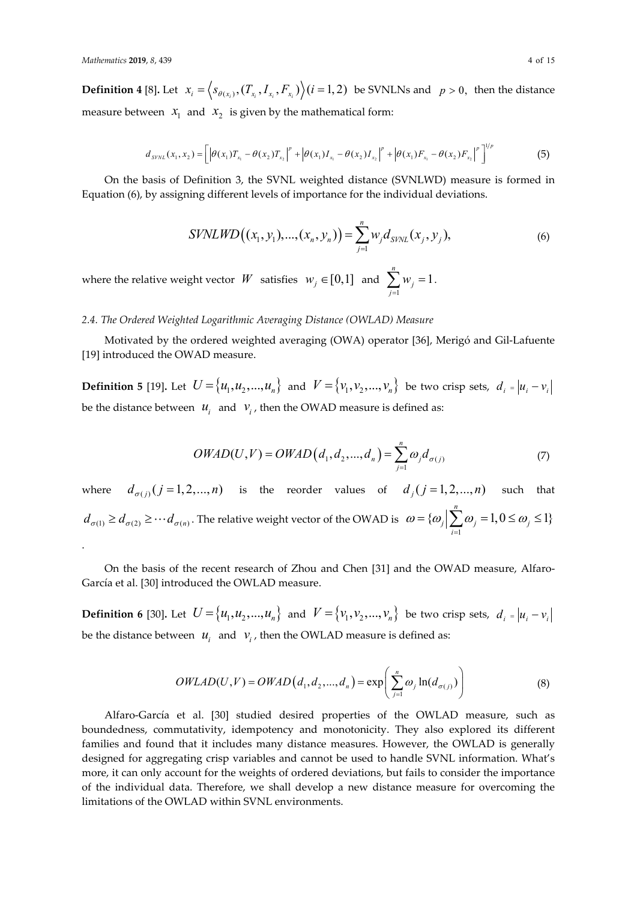.

**Definition 4** [8]. Let  $x_i = \langle s_{\theta(x_i)}, (T_{x_i}, I_{x_i}, F_{x_i}) \rangle$   $(i = 1, 2)$  be SVNLNs and  $p > 0$ , then the distance measure between  $x_1$  and  $x_2$  is given by the mathematical form:

$$
d_{SVNL}(x_1, x_2) = \left[ \left| \theta(x_1) T_{x_1} - \theta(x_2) T_{x_2} \right|^p + \left| \theta(x_1) I_{x_1} - \theta(x_2) I_{x_2} \right|^p + \left| \theta(x_1) F_{x_1} - \theta(x_2) F_{x_2} \right|^p \right]^{1/p} \tag{5}
$$

On the basis of Definition 3, the SVNL weighted distance (SVNLWD) measure is formed in Equation (6), by assigning different levels of importance for the individual deviations.

$$
SVNLWD((x_1, y_1), ..., (x_n, y_n)) = \sum_{j=1}^{n} w_j d_{SVNL}(x_j, y_j),
$$
\n(6)

where the relative weight vector  $W$  satisfies  $w_j \in [0,1]$  and 1 1 *n j j w*  $\sum_{j=1} w_j = 1$ .

#### *2.4. The Ordered Weighted Logarithmic Averaging Distance (OWLAD) Measure*

Motivated by the ordered weighted averaging (OWA) operator [36], Merigó and Gil-Lafuente [19] introduced the OWAD measure.

**Definition 5** [19]. Let  $U = \{u_1, u_2, ..., u_n\}$  and  $V = \{v_1, v_2, ..., v_n\}$  be two crisp sets,  $d_i = |u_i - v_i|$ be the distance between  $u_i$  and  $v_i$ , then the OWAD measure is defined as:

$$
OWAD(U,V) = OWAD(d_1, d_2, ..., d_n) = \sum_{j=1}^{n} \omega_j d_{\sigma(j)}
$$
(7)

where  $d_{\sigma(j)}$   $(j = 1, 2, ..., n)$  is the reorder values of  $d_j$   $(j = 1, 2, ..., n)$  such that  $(d_{\sigma(1)} \geq d_{\sigma(2)} \geq \cdots d_{\sigma(n)}$ . The relative weight vector of the OWAD is 1  $\{\omega_i\}\sum \omega_i = 1, 0 \le \omega_i \le 1\}$ *n*  $j$   $\sum \omega_j$   $-1, \upsilon \ge \omega_j$ *i*  $\omega = {\omega \rightarrow \infty}$   $\rightarrow \omega = 1, 0 \le \omega$  $=\{\omega_j\Big| \sum_{i=1}\omega_j=1, 0\leq \omega_j\leq$ 

On the basis of the recent research of Zhou and Chen [31] and the OWAD measure, Alfaro-García et al. [30] introduced the OWLAD measure.

**Definition 6** [30]. Let  $U = \{u_1, u_2, ..., u_n\}$  and  $V = \{v_1, v_2, ..., v_n\}$  be two crisp sets,  $d_i = |u_i - v_i|$ be the distance between  $u_i$  and  $v_i$ , then the OWLAD measure is defined as:

$$
OWLAD(U, V) = OWAD(d_1, d_2, ..., d_n) = \exp\left(\sum_{j=1}^n \omega_j \ln(d_{\sigma(j)})\right)
$$
(8)

Alfaro-García et al. [30] studied desired properties of the OWLAD measure, such as boundedness, commutativity, idempotency and monotonicity. They also explored its different families and found that it includes many distance measures. However, the OWLAD is generally designed for aggregating crisp variables and cannot be used to handle SVNL information. What's more, it can only account for the weights of ordered deviations, but fails to consider the importance of the individual data. Therefore, we shall develop a new distance measure for overcoming the limitations of the OWLAD within SVNL environments.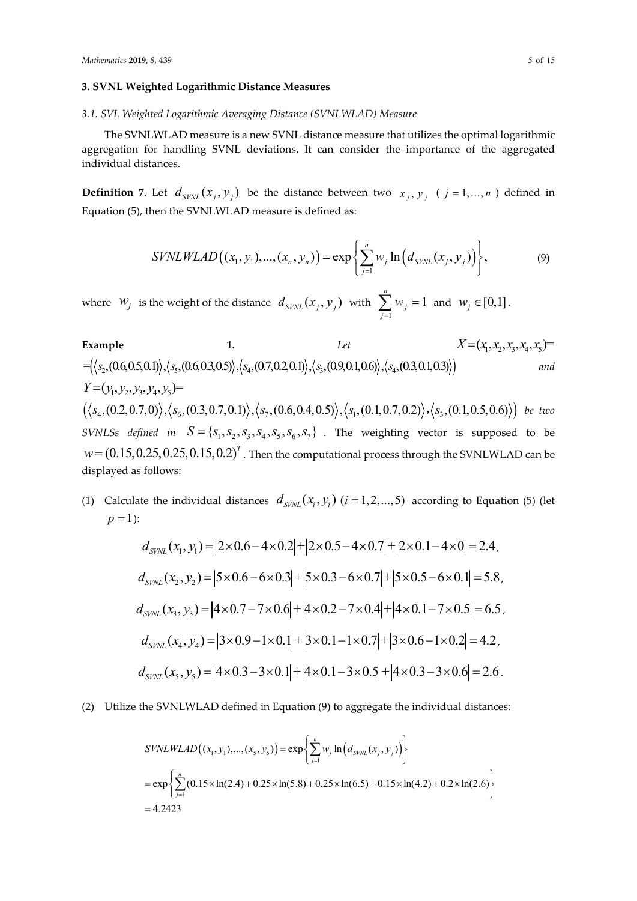#### **3. SVNL Weighted Logarithmic Distance Measures**

#### *3.1. SVL Weighted Logarithmic Averaging Distance (SVNLWLAD) Measure*

The SVNLWLAD measure is a new SVNL distance measure that utilizes the optimal logarithmic aggregation for handling SVNL deviations. It can consider the importance of the aggregated individual distances.

**Definition** 7. Let  $d_{SVNL}(x_j, y_j)$  be the distance between two  $x_j, y_j$  (  $j = 1,...,n$  ) defined in Equation (5), then the SVNLWLAD measure is defined as:

$$
SVNLWLAD((x_1, y_1), ..., (x_n, y_n)) = \exp\left\{\sum_{j=1}^n w_j \ln\left(d_{SVNL}(x_j, y_j)\right)\right\},\tag{9}
$$

where  $W_j$  is the weight of the distance  $d_{SVNL}(x_j, y_j)$  with 1 1 *n j j w*  $\sum_{j=1} w_j = 1$  and  $w_j \in [0,1]$ .

Example 1. Let 
$$
X=(x_1, x_2, x_3, x_4, x_5)
$$
 =  
\n
$$
(\langle x_2, (0.6, 0.5, 0.1) \rangle, \langle x_3, (0.6, 0.3, 0.5) \rangle, \langle x_4, (0.7, 0.2, 0.1) \rangle, \langle x_3, (0.9, 0.1, 0.6) \rangle, \langle x_4, (0.3, 0.1, 0.3) \rangle)
$$
 and  $Y=(y_1, y_2, y_3, y_4, y_5)$  =  
\n
$$
(\langle x_4, (0.2, 0.7, 0) \rangle, \langle x_6, (0.3, 0.7, 0.1) \rangle, \langle x_7, (0.6, 0.4, 0.5) \rangle, \langle x_1, (0.1, 0.7, 0.2) \rangle, \langle x_3, (0.1, 0.5, 0.6) \rangle)
$$
 be two  
\n
$$
SVMLSs \text{ defined in } S = \{s_1, s_2, s_3, s_4, s_5, s_6, s_7\}
$$
. The weighting vector is supposed to be  
\n $w = (0.15, 0.25, 0.25, 0.15, 0.2)^T$ . Then the computational process through the SVMLWLAD can be  
\ndis played as follows:

(1) Calculate the individual distances  $d_{SVM}$   $(x_i, y_i)$   $(i = 1, 2, ..., 5)$  according to Equation (5) (let  $p = 1$ :

$$
d_{SVM} (x_1, y_1) = |2 \times 0.6 - 4 \times 0.2| + |2 \times 0.5 - 4 \times 0.7| + |2 \times 0.1 - 4 \times 0| = 2.4,
$$
  
\n
$$
d_{SVM} (x_2, y_2) = |5 \times 0.6 - 6 \times 0.3| + |5 \times 0.3 - 6 \times 0.7| + |5 \times 0.5 - 6 \times 0.1| = 5.8,
$$
  
\n
$$
d_{SVM} (x_3, y_3) = |4 \times 0.7 - 7 \times 0.6| + |4 \times 0.2 - 7 \times 0.4| + |4 \times 0.1 - 7 \times 0.5| = 6.5,
$$
  
\n
$$
d_{SVM} (x_4, y_4) = |3 \times 0.9 - 1 \times 0.1| + |3 \times 0.1 - 1 \times 0.7| + |3 \times 0.6 - 1 \times 0.2| = 4.2,
$$
  
\n
$$
d_{SVM} (x_5, y_5) = |4 \times 0.3 - 3 \times 0.1| + |4 \times 0.1 - 3 \times 0.5| + |4 \times 0.3 - 3 \times 0.6| = 2.6.
$$

(2) Utilize the SVNLWLAD defined in Equation (9) to aggregate the individual distances:

$$
SYNLWLAD((x_1, y_1), ..., (x_5, y_5)) = \exp \left\{ \sum_{j=1}^n w_j \ln (d_{SVNL}(x_j, y_j)) \right\}
$$
  
=  $\exp \left\{ \sum_{j=1}^n (0.15 \times \ln(2.4) + 0.25 \times \ln(5.8) + 0.25 \times \ln(6.5) + 0.15 \times \ln(4.2) + 0.2 \times \ln(2.6) \right\}$   
= 4.2423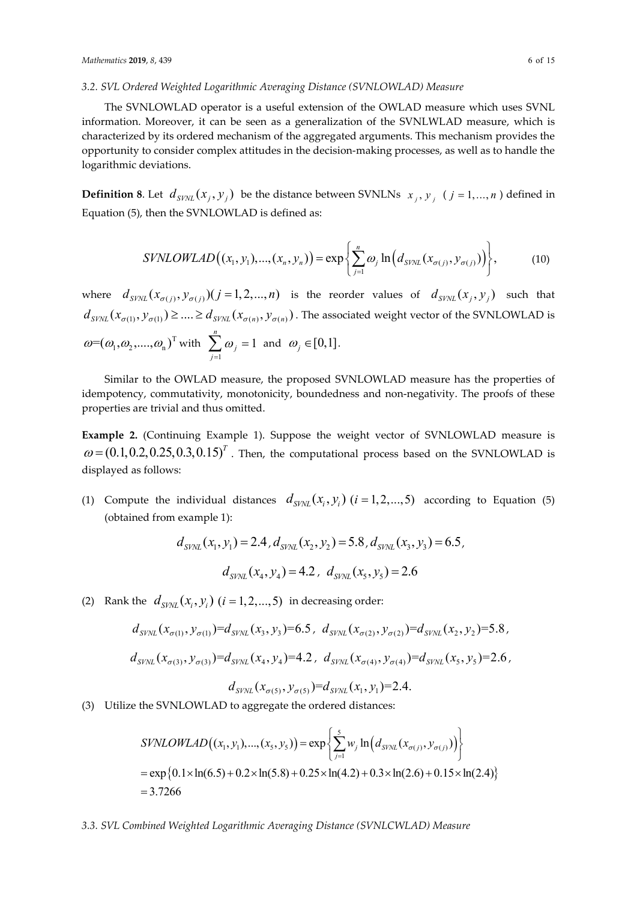#### *3.2. SVL Ordered Weighted Logarithmic Averaging Distance (SVNLOWLAD) Measure*

The SVNLOWLAD operator is a useful extension of the OWLAD measure which uses SVNL information. Moreover, it can be seen as a generalization of the SVNLWLAD measure, which is characterized by its ordered mechanism of the aggregated arguments. This mechanism provides the opportunity to consider complex attitudes in the decision-making processes, as well as to handle the logarithmic deviations.

**Definition 8**. Let  $d_{SVNL}(x_j, y_j)$  be the distance between SVNLNs  $x_j, y_j$  ( $j = 1, ..., n$ ) defined in Equation (5), then the SVNLOWLAD is defined as:

$$
SVMLOWLAD((x_1, y_1), ..., (x_n, y_n)) = \exp\left\{\sum_{j=1}^n \omega_j \ln\left(d_{SVM}(x_{\sigma(j)}, y_{\sigma(j)})\right)\right\},\tag{10}
$$

where  $d_{SVNL}$   $(x_{\sigma(i)}, y_{\sigma(i)})$   $(j = 1, 2, ..., n)$  is the reorder values of  $d_{SVNL}$   $(x_i, y_j)$  such that  $(d_{SVM}(x_{\sigma(1)}, y_{\sigma(1)}) \geq ... \geq d_{SVM}(x_{\sigma(n)}, y_{\sigma(n)})$ . The associated weight vector of the SVNLOWLAD is  $\omega{=}(\omega_1, \omega_2, \ldots, \omega_n)^\text{T}$  with 1 1 *n j j*  $\omega$  $\sum_{j=1}^{\infty} \omega_j = 1$  and  $\omega_j \in [0,1]$ .

Similar to the OWLAD measure, the proposed SVNLOWLAD measure has the properties of idempotency, commutativity, monotonicity, boundedness and non-negativity. The proofs of these properties are trivial and thus omitted.

**Example 2.** (Continuing Example 1). Suppose the weight vector of SVNLOWLAD measure is  $\omega$  = (0.1,0.2,0.25,0.3,0.15)<sup>T</sup>. Then, the computational process based on the SVNLOWLAD is displayed as follows:

(1) Compute the individual distances  $d_{SWM}(x_i, y_i)$  ( $i = 1, 2, ..., 5$ ) according to Equation (5) (obtained from example 1):

$$
d_{SVM}(x_1, y_1) = 2.4, d_{SVM}(x_2, y_2) = 5.8, d_{SVM}(x_3, y_3) = 6.5,
$$
  

$$
d_{SVM}(x_4, y_4) = 4.2, d_{SVM}(x_5, y_5) = 2.6
$$

(2) Rank the  $d_{SVM} ( x_i, y_i )$  ( $i = 1, 2, ..., 5$ ) in decreasing order:

$$
d_{SVNL}(x_{\sigma(1)}, y_{\sigma(1)}) = d_{SVNL}(x_3, y_3) = 6.5, d_{SVNL}(x_{\sigma(2)}, y_{\sigma(2)}) = d_{SVNL}(x_2, y_2) = 5.8,
$$
  

$$
d_{SVNL}(x_{\sigma(3)}, y_{\sigma(3)}) = d_{SVNL}(x_4, y_4) = 4.2, d_{SVNL}(x_{\sigma(4)}, y_{\sigma(4)}) = d_{SVNL}(x_5, y_5) = 2.6,
$$
  

$$
d_{SVNL}(x_{\sigma(5)}, y_{\sigma(5)}) = d_{SVNL}(x_1, y_1) = 2.4.
$$

(3) Utilize the SVNLOWLAD to aggregate the ordered distances:

$$
SYNLOWLAD((x_1, y_1), ..., (x_5, y_5)) = \exp \left\{ \sum_{j=1}^{5} w_j \ln (d_{SVNL}(x_{\sigma(j)}, y_{\sigma(j)})) \right\}
$$
  
=  $\exp \{0.1 \times \ln(6.5) + 0.2 \times \ln(5.8) + 0.25 \times \ln(4.2) + 0.3 \times \ln(2.6) + 0.15 \times \ln(2.4) \}$   
= 3.7266

*3.3. SVL Combined Weighted Logarithmic Averaging Distance (SVNLCWLAD) Measure*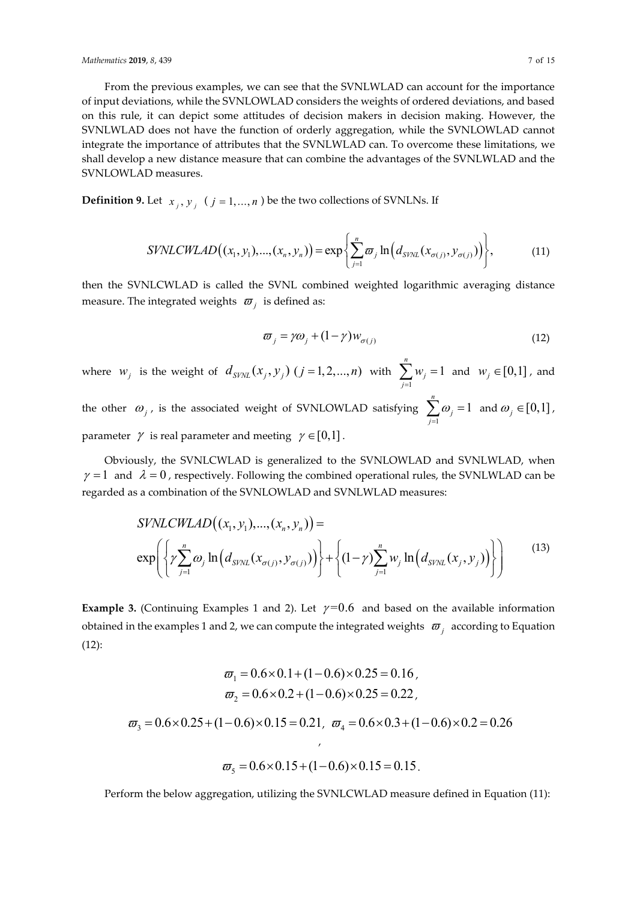#### *Mathematics* **2019**, *8*, 439 7 of 15

From the previous examples, we can see that the SVNLWLAD can account for the importance of input deviations, while the SVNLOWLAD considers the weights of ordered deviations, and based on this rule, it can depict some attitudes of decision makers in decision making. However, the SVNLWLAD does not have the function of orderly aggregation, while the SVNLOWLAD cannot integrate the importance of attributes that the SVNLWLAD can. To overcome these limitations, we shall develop a new distance measure that can combine the advantages of the SVNLWLAD and the SVNLOWLAD measures.

**Definition 9.** Let  $x_j, y_j$  ( $j = 1,...,n$ ) be the two collections of SVNLNs. If

$$
SVMLCWLAD((x_1, y_1), ..., (x_n, y_n)) = \exp\left\{\sum_{j=1}^n \varpi_j \ln\left(d_{SVNL}(x_{\sigma(j)}, y_{\sigma(j)})\right)\right\},\tag{11}
$$

then the SVNLCWLAD is called the SVNL combined weighted logarithmic averaging distance measure. The integrated weights  $\varpi$ <sub>*i*</sub> is defined as:

$$
\varpi_j = \gamma \omega_j + (1 - \gamma) w_{\sigma(j)} \tag{12}
$$

where  $w_j$  is the weight of  $d_{\text{SVM}}(x_j, y_j)$   $(j = 1, 2, ..., n)$  with 1 1 *n j j w*  $\sum_{j=1} w_j = 1$  and  $w_j \in [0,1]$ , and

the other  $\omega_{j}$ , is the associated weight of SVNLOWLAD satisfying 1 1 *n j j*  $\omega$  $\sum_{j=1}^n \omega_j = 1$  and  $\omega_j \in [0,1]$ , parameter  $\gamma$  is real parameter and meeting  $\gamma \in [0,1]$ .

Obviously, the SVNLCWLAD is generalized to the SVNLOWLAD and SVNLWLAD, when  $\gamma = 1$  and  $\lambda = 0$ , respectively. Following the combined operational rules, the SVNLWLAD can be regarded as a combination of the SVNLOWLAD and SVNLWLAD measures:

$$
SVMCWLAD((x_1, y_1), ..., (x_n, y_n)) =
$$
  
\n
$$
\exp\left\{\gamma \sum_{j=1}^n \omega_j \ln\left(d_{SVM}(x_{\sigma(j)}, y_{\sigma(j)})\right)\right\} + \left\{\left(1-\gamma \sum_{j=1}^n w_j \ln\left(d_{SVM}(x_j, y_j)\right)\right)\right\} \qquad (13)
$$

**Example 3.** (Continuing Examples 1 and 2). Let  $\gamma=0.6$  and based on the available information obtained in the examples 1 and 2, we can compute the integrated weights  $\sigma$ <sub>i</sub> according to Equation (12):

$$
\varpi_1 = 0.6 \times 0.1 + (1 - 0.6) \times 0.25 = 0.16,
$$
  
\n
$$
\varpi_2 = 0.6 \times 0.2 + (1 - 0.6) \times 0.25 = 0.22,
$$
  
\n
$$
\varpi_3 = 0.6 \times 0.25 + (1 - 0.6) \times 0.15 = 0.21, \quad \varpi_4 = 0.6 \times 0.3 + (1 - 0.6) \times 0.2 = 0.26
$$
  
\n
$$
\varpi_5 = 0.6 \times 0.15 + (1 - 0.6) \times 0.15 = 0.15.
$$

Perform the below aggregation, utilizing the SVNLCWLAD measure defined in Equation (11):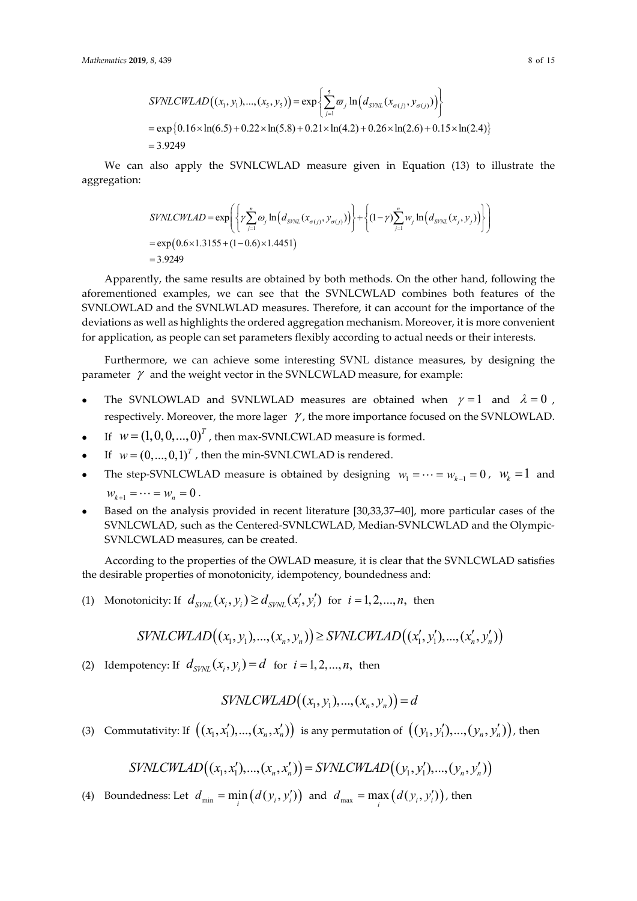$$
SVMLCWLAD((x_1, y_1), ..., (x_5, y_5)) = \exp \left\{ \sum_{j=1}^{5} \varpi_j \ln (d_{SVM}(x_{\sigma(j)}, y_{\sigma(j)})) \right\}
$$
  
=  $\exp \{0.16 \times \ln(6.5) + 0.22 \times \ln(5.8) + 0.21 \times \ln(4.2) + 0.26 \times \ln(2.6) + 0.15 \times \ln(2.4) \}$   
= 3.9249

We can also apply the SVNLCWLAD measure given in Equation (13) to illustrate the aggregation:

$$
SVMLCWLAD = \exp\left\{\left\{\gamma \sum_{j=1}^{n} \omega_j \ln\left(d_{SVNL}(x_{\sigma(j)}, y_{\sigma(j)})\right)\right\} + \left\{\left(1-\gamma \right)\sum_{j=1}^{n} w_j \ln\left(d_{SVNL}(x_j, y_j)\right)\right\}\right\}
$$
  
= exp(0.6×1.3155 + (1-0.6)×1.4451)  
= 3.9249

Apparently, the same results are obtained by both methods. On the other hand, following the aforementioned examples, we can see that the SVNLCWLAD combines both features of the SVNLOWLAD and the SVNLWLAD measures. Therefore, it can account for the importance of the deviations as well as highlights the ordered aggregation mechanism. Moreover, it is more convenient for application, as people can set parameters flexibly according to actual needs or their interests.

Furthermore, we can achieve some interesting SVNL distance measures, by designing the parameter  $\gamma$  and the weight vector in the SVNLCWLAD measure, for example:

- The SVNLOWLAD and SVNLWLAD measures are obtained when  $\gamma = 1$  and  $\lambda = 0$ , respectively. Moreover, the more lager  $\gamma$ , the more importance focused on the SVNLOWLAD.
- If  $W = (1,0,0,...,0)^T$ , then max-SVNLCWLAD measure is formed.
- If  $w = (0, ..., 0, 1)^T$ , then the min-SVNLCWLAD is rendered.
- The step-SVNLCWLAD measure is obtained by designing  $w_1 = \cdots = w_{k-1} = 0$ ,  $w_k = 1$  and  $W_{k+1} = \cdots = W_n = 0$ .
- Based on the analysis provided in recent literature [30,33,37–40], more particular cases of the SVNLCWLAD, such as the Centered-SVNLCWLAD, Median-SVNLCWLAD and the Olympic-SVNLCWLAD measures, can be created.

According to the properties of the OWLAD measure, it is clear that the SVNLCWLAD satisfies the desirable properties of monotonicity, idempotency, boundedness and:

(1) Monotonicity: If  $d_{SVNL}(x_i, y_i) \geq d_{SVNL}(x'_i, y'_i)$  for  $i = 1, 2, ..., n$ , then

$$
SVMCCWLAND((x_1, y_1), ..., (x_n, y_n)) \geq SVMCCWLAND((x'_1, y'_1), ..., (x'_n, y'_n))
$$

(2) Idempotency: If  $d_{sVM}(x_i, y_i) = d$  for  $i = 1, 2, ..., n$ , then

$$
SVMCCWLAD((x_1, y_1), ..., (x_n, y_n)) = d
$$

(3) Commutativity: If  $((x_1, x_1'), ..., (x_n, x_n'))$  is any permutation of  $((y_1, y_1'), ..., (y_n, y_n'))$ , then

$$
SVMCCWLAD((x_1, x_1'), ..., (x_n, x_n')) = SVMCCWLAD((y_1, y_1'), ..., (y_n, y_n'))
$$

(4) Boundedness: Let  $d_{\min} = \min_i (d(y_i, y'_i))$  and  $d_{\max} = \max_i (d(y_i, y'_i))$ , then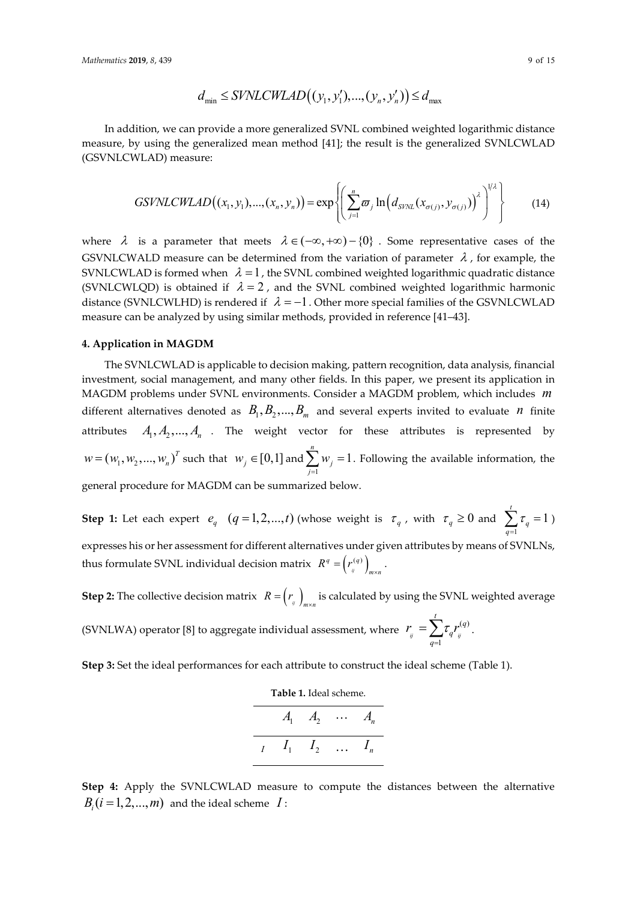$$
d_{\min} \leq SYNLCWLAD((y_1, y_1'), ..., (y_n, y_n')) \leq d_{\max}
$$

In addition, we can provide a more generalized SVNL combined weighted logarithmic distance measure, by using the generalized mean method [41]; the result is the generalized SVNLCWLAD (GSVNLCWLAD) measure:

$$
GSVNLCWLAD((x_1, y_1), ..., (x_n, y_n)) = \exp \left\{ \left( \sum_{j=1}^n \varpi_j \ln \left( d_{SVNL}(x_{\sigma(j)}, y_{\sigma(j)}) \right)^{\lambda} \right)^{1/\lambda} \right\}
$$
(14)

where  $\lambda$  is a parameter that meets  $\lambda \in (-\infty, +\infty) - \{0\}$ . Some representative cases of the GSVNLCWALD measure can be determined from the variation of parameter  $\lambda$ , for example, the SVNLCWLAD is formed when  $\lambda = 1$ , the SVNL combined weighted logarithmic quadratic distance (SVNLCWLQD) is obtained if  $\lambda = 2$ , and the SVNL combined weighted logarithmic harmonic distance (SVNLCWLHD) is rendered if  $\lambda = -1$ . Other more special families of the GSVNLCWLAD measure can be analyzed by using similar methods, provided in reference [41–43].

#### **4. Application in MAGDM**

The SVNLCWLAD is applicable to decision making, pattern recognition, data analysis, financial investment, social management, and many other fields. In this paper, we present its application in MAGDM problems under SVNL environments. Consider a MAGDM problem, which includes *m* different alternatives denoted as  $B_1, B_2, ..., B_m$  and several experts invited to evaluate *n* finite attributes  $A_1, A_2, ..., A_n$  . The weight vector for these attributes is represented by  $w = (w_1, w_2, ..., w_n)^T$  such that  $w_j \in [0,1]$  and 1 1 *n j j w*  $\sum_{j=1} w_j = 1$ . Following the available information, the general procedure for MAGDM can be summarized below.

**Step 1:** Let each expert  $e_q$   $(q=1,2,...,t)$  (whose weight is  $\tau_q$ , with  $\tau_q \ge 0$  and 1 1 *q q* τ  $\sum_{q=1}$   $\tau_q = 1$ ) expresses his or her assessment for different alternatives under given attributes by means of SVNLNs, thus formulate SVNL individual decision matrix  $R^q = \left( r^{(q)}_{ij} \right)$  $q = \int \mathbf{r}^{q}$  $R^q = \left(r_{ij}^{(q)}\right)_{m \times n}$ .

**Step 2:** The collective decision matrix  $R = \begin{pmatrix} r_y \end{pmatrix}_{m \times n}$  is calculated by using the SVNL weighted average

(SVNLWA) operator [8] to aggregate individual assessment, where  $r_{ii} = \sum \tau_{a} r_{ii}^{(q)}$ *ij*  $q=1$  *4 ij*  $\frac{t}{\sqrt{a}}$   $\frac{t}{a}$ *q q*  $r_{i} = \sum \tau_{i} r_{i}$  $=\!\sum_{q=1}\!\tau_q r_{_{\!\scriptscriptstyle j\!\prime}}^{(q)}\,.$ 

**Step 3:** Set the ideal performances for each attribute to construct the ideal scheme (Table 1).

| Table 1. Ideal scheme. |  |                              |  |  |
|------------------------|--|------------------------------|--|--|
|                        |  | $A_1 \quad A_2 \quad \cdots$ |  |  |
|                        |  | $I_1$ $I_2$                  |  |  |

**Step 4:** Apply the SVNLCWLAD measure to compute the distances between the alternative  $B_i$   $(i = 1, 2, ..., m)$  and the ideal scheme *I* :

*t*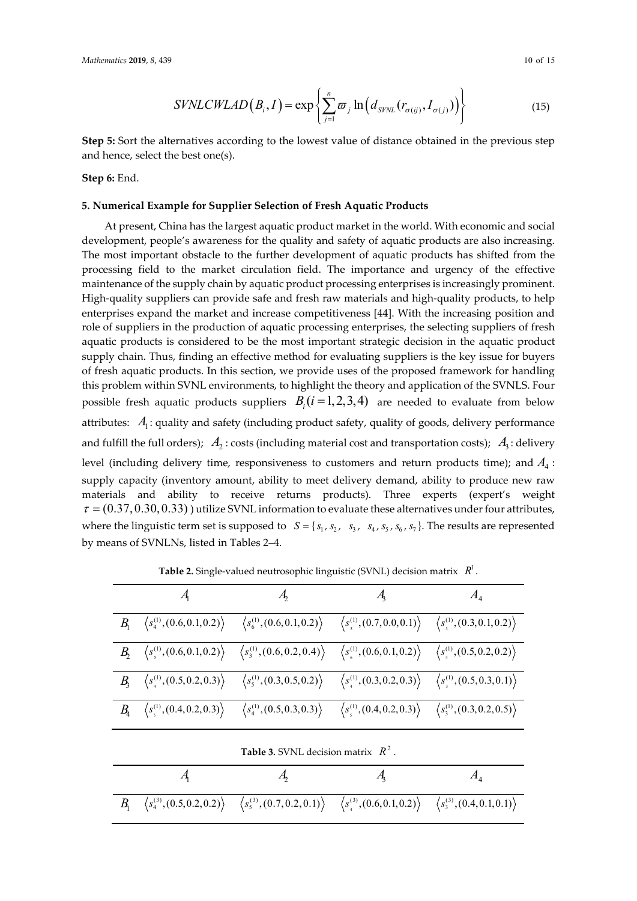$$
SVMLCWLAD(B_i, I) = \exp\left\{\sum_{j=1}^n \varpi_j \ln\left(d_{SVNL}(r_{\sigma(ij)}, I_{\sigma(j)})\right)\right\}
$$
(15)

**Step 5:** Sort the alternatives according to the lowest value of distance obtained in the previous step and hence, select the best one(s).

**Step 6:** End.

#### **5. Numerical Example for Supplier Selection of Fresh Aquatic Products**

At present, China has the largest aquatic product market in the world. With economic and social development, people's awareness for the quality and safety of aquatic products are also increasing. The most important obstacle to the further development of aquatic products has shifted from the processing field to the market circulation field. The importance and urgency of the effective maintenance of the supply chain by aquatic product processing enterprises is increasingly prominent. High-quality suppliers can provide safe and fresh raw materials and high-quality products, to help enterprises expand the market and increase competitiveness [44]. With the increasing position and role of suppliers in the production of aquatic processing enterprises, the selecting suppliers of fresh aquatic products is considered to be the most important strategic decision in the aquatic product supply chain. Thus, finding an effective method for evaluating suppliers is the key issue for buyers of fresh aquatic products. In this section, we provide uses of the proposed framework for handling this problem within SVNL environments, to highlight the theory and application of the SVNLS. Four possible fresh aquatic products suppliers  $B_i$  ( $i = 1,2,3,4$ ) are needed to evaluate from below attributes:  $A_1$ : quality and safety (including product safety, quality of goods, delivery performance and fulfill the full orders);  $A_2$ : costs (including material cost and transportation costs);  $A_3$ : delivery level (including delivery time, responsiveness to customers and return products time); and  $A_4$ : supply capacity (inventory amount, ability to meet delivery demand, ability to produce new raw materials and ability to receive returns products). Three experts (expert's weight  $\tau = (0.37, 0.30, 0.33)$  ) utilize SVNL information to evaluate these alternatives under four attributes, where the linguistic term set is supposed to  $S = \{s_1, s_2, s_3, s_4, s_5, s_6, s_7\}$ . The results are represented by means of SVNLNs, listed in Tables 2–4.

|                                                        |                                                                                                                                                                                                                                                                                                                                                                            |                                                                                                                                                                                  | $A_4$ |
|--------------------------------------------------------|----------------------------------------------------------------------------------------------------------------------------------------------------------------------------------------------------------------------------------------------------------------------------------------------------------------------------------------------------------------------------|----------------------------------------------------------------------------------------------------------------------------------------------------------------------------------|-------|
| $\langle s_4^{(1)}, (0.6, 0.1, 0.2) \rangle$           | $\langle s_6^{(1)}, (0.6, 0.1, 0.2) \rangle$                                                                                                                                                                                                                                                                                                                               | $\langle s_{\scriptscriptstyle 5}^{\scriptscriptstyle (1)},(0.7,0.0,0.1)\rangle \quad \left\langle s_{\scriptscriptstyle 3}^{\scriptscriptstyle (1)},(0.3,0.1,0.2)\right\rangle$ |       |
|                                                        | $\left\langle s_{\scriptscriptstyle \rm S}^{\rm (1)} , (0.6,0.1,0.2) \right\rangle \hspace{0.5cm} \left\langle s_{\scriptscriptstyle 3}^{\rm (1)} , (0.6,0.2,0.4) \right\rangle \hspace{0.5cm} \left\langle s_{\scriptscriptstyle 6}^{\rm (1)} , (0.6,0.1,0.2) \right\rangle \hspace{0.5cm} \left\langle s_{\scriptscriptstyle 4}^{\rm (1)} , (0.5,0.2,0.2) \right\rangle$ |                                                                                                                                                                                  |       |
|                                                        | $B_3 \quad \left\langle s_4^{(1)}, (0.5, 0.2, 0.3) \right\rangle \quad \left\langle s_5^{(1)}, (0.3, 0.5, 0.2) \right\rangle \quad \left\langle s_4^{(1)}, (0.3, 0.2, 0.3) \right\rangle \quad \left\langle s_5^{(1)}, (0.5, 0.3, 0.1) \right\rangle$                                                                                                                      |                                                                                                                                                                                  |       |
| $B_4 \quad \langle s_5^{(1)}, (0.4, 0.2, 0.3) \rangle$ | $\langle s_4^{(1)}, (0.5, 0.3, 0.3) \rangle$                                                                                                                                                                                                                                                                                                                               | $\langle s_1^{(1)}, (0.4, 0.2, 0.3) \rangle \langle s_3^{(1)}, (0.3, 0.2, 0.5) \rangle$                                                                                          |       |

**Table 2.** Single-valued neutrosophic linguistic (SVNL) decision matrix  $R^1$ .

|  | $\mathcal{A}_{\mathsf{b}}$                                                                                                                                                                    |  |
|--|-----------------------------------------------------------------------------------------------------------------------------------------------------------------------------------------------|--|
|  | $B_1 \quad \langle s_4^{(3)},(0.5,0.2,0.2) \rangle \quad \langle s_5^{(3)},(0.7,0.2,0.1) \rangle \quad \langle s_4^{(3)},(0.6,0.1,0.2) \rangle \quad \langle s_3^{(3)},(0.4,0.1,0.1) \rangle$ |  |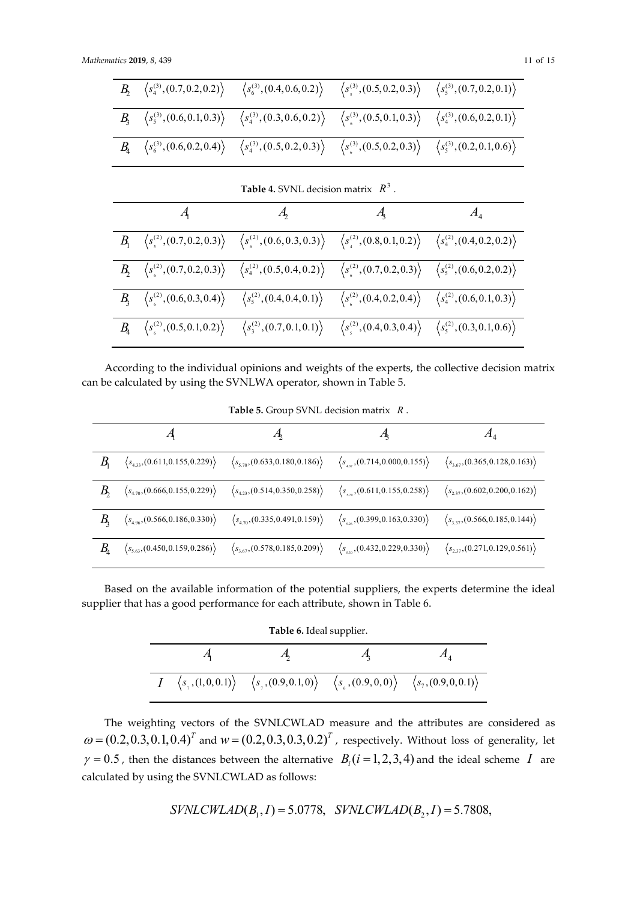|  | $\langle s_4^{(3)},(0.7,0.2,0.2)\rangle \quad \langle s_6^{(3)},(0.4,0.6,0.2)\rangle \quad \langle s_5^{(3)},(0.5,0.2,0.3)\rangle \quad \langle s_5^{(3)},(0.7,0.2,0.1)\rangle$               |  |
|--|-----------------------------------------------------------------------------------------------------------------------------------------------------------------------------------------------|--|
|  | $B_3 = \langle s_5^{(3)}, (0.6, 0.1, 0.3) \rangle = \langle s_4^{(3)}, (0.3, 0.6, 0.2) \rangle = \langle s_6^{(3)}, (0.5, 0.1, 0.3) \rangle = \langle s_4^{(3)}, (0.6, 0.2, 0.1) \rangle$     |  |
|  | $B_4 \quad \langle s_6^{(3)},(0.6,0.2,0.4) \rangle \quad \langle s_4^{(3)},(0.5,0.2,0.3) \rangle \quad \langle s_6^{(3)},(0.5,0.2,0.3) \rangle \quad \langle s_5^{(3)},(0.2,0.1,0.6) \rangle$ |  |

| <b>Table 4.</b> SVNL decision matrix $R^3$ . |                                                                                                                                                                                                                                               |  |       |  |  |
|----------------------------------------------|-----------------------------------------------------------------------------------------------------------------------------------------------------------------------------------------------------------------------------------------------|--|-------|--|--|
|                                              |                                                                                                                                                                                                                                               |  | $A_4$ |  |  |
|                                              | $B_1 \quad \left\langle s^{(2)}_s(0.7, 0.2, 0.3) \right\rangle \quad \left\langle s^{(2)}_s(0.6, 0.3, 0.3) \right\rangle \quad \left\langle s^{(2)}_s(0.8, 0.1, 0.2) \right\rangle \quad \left\langle s^{(2)}_4(0.4, 0.2, 0.2) \right\rangle$ |  |       |  |  |
|                                              | $B_2 \left\langle s^{(2)}_6(0.7, 0.2, 0.3) \right\rangle \left\langle s^{(2)}_4(0.5, 0.4, 0.2) \right\rangle \left\langle s^{(2)}_6(0.7, 0.2, 0.3) \right\rangle \left\langle s^{(2)}_5(0.6, 0.2, 0.2) \right\rangle$                         |  |       |  |  |
|                                              | $B_3 \quad \left\langle s_6^{(2)},(0.6,0.3,0.4) \right\rangle \quad \left\langle s_5^{(2)},(0.4,0.4,0.1) \right\rangle \quad \left\langle s_6^{(2)},(0.4,0.2,0.4) \right\rangle \quad \left\langle s_4^{(2)},(0.6,0.1,0.3) \right\rangle$     |  |       |  |  |
|                                              | $B_4 \quad \left\langle s^{(2)}_s(0.5, 0.1, 0.2) \right\rangle \quad \left\langle s^{(2)}_3(0.7, 0.1, 0.1) \right\rangle \quad \left\langle s^{(2)}_s(0.4, 0.3, 0.4) \right\rangle \quad \left\langle s^{(2)}_s(0.3, 0.1, 0.6) \right\rangle$ |  |       |  |  |

According to the individual opinions and weights of the experts, the collective decision matrix can be calculated by using the SVNLWA operator, shown in Table 5.

|                              | $\langle s_{4,33}, (0.611, 0.155, 0.229) \rangle$ | $\langle s_{5.70}, (0.633, 0.180, 0.186) \rangle$ | $\langle s_{437}, (0.714, 0.000, 0.155) \rangle$                                    | $\langle s_{3.67}, (0.365, 0.128, 0.163) \rangle$ |
|------------------------------|---------------------------------------------------|---------------------------------------------------|-------------------------------------------------------------------------------------|---------------------------------------------------|
|                              | $\langle s_{4.70}, (0.666, 0.155, 0.229) \rangle$ | $\langle s_{4.23}, (0.514, 0.350, 0.258) \rangle$ | $\langle s_{\scriptscriptstyle{570}}$ , (0.611, 0.155, 0.258))                      | $\langle s_{2.37}, (0.602, 0.200, 0.162) \rangle$ |
|                              | $\langle s_{4.96}, (0.566, 0.186, 0.330) \rangle$ | $\langle s_{4.70}, (0.335, 0.491, 0.159) \rangle$ | $\langle s_{\scriptscriptstyle{526}}(0.399, 0.163, 0.330)\rangle$                   | $\langle s_{3,37}, (0.566, 0.185, 0.144) \rangle$ |
| $B_{\!\scriptscriptstyle 4}$ | $\langle s_{5.63}, (0.450, 0.159, 0.286) \rangle$ | $\langle s_{3.67}, (0.578, 0.185, 0.209) \rangle$ | $\langle s_{\scriptscriptstyle{5,30}}^{\phantom{*}}, (0.432, 0.229, 0.330) \rangle$ | $\langle s_{2,37}, (0.271, 0.129, 0.561) \rangle$ |

Based on the available information of the potential suppliers, the experts determine the ideal supplier that has a good performance for each attribute, shown in Table 6.

| <b>Table 6.</b> Ideal supplier. |  |                                                                                                                                                     |  |  |  |
|---------------------------------|--|-----------------------------------------------------------------------------------------------------------------------------------------------------|--|--|--|
|                                 |  |                                                                                                                                                     |  |  |  |
| $\overline{I}$                  |  | $\langle s_1, (1,0,0.1) \rangle \quad \langle s_1, (0.9,0.1,0) \rangle \quad \langle s_2, (0.9,0,0) \rangle \quad \langle s_7, (0.9,0,0.1) \rangle$ |  |  |  |

The weighting vectors of the SVNLCWLAD measure and the attributes are considered as  $\omega = (0.2, 0.3, 0.1, 0.4)^T$  and  $w = (0.2, 0.3, 0.3, 0.2)^T$ , respectively. Without loss of generality, let  $\gamma = 0.5$ , then the distances between the alternative  $B_i(i = 1,2,3,4)$  and the ideal scheme *I* are calculated by using the SVNLCWLAD as follows:

$$
SVMCCWLAD(B_1, I) = 5.0778, \quad SVMCCWLAD(B_2, I) = 5.7808,
$$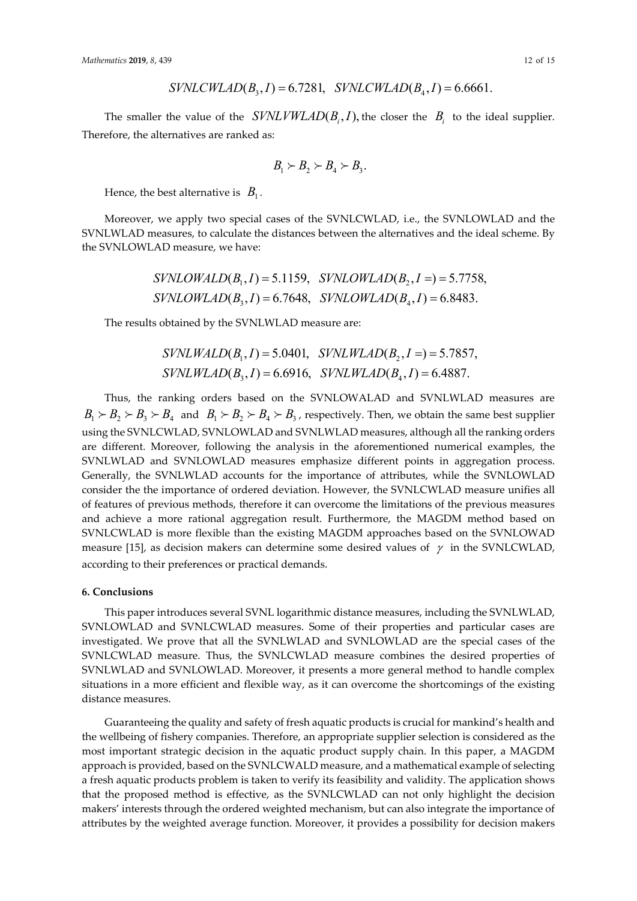$$
SVMCCWLAD(B_3, I) = 6.7281, \quad SVNLCWLAD(B_4, I) = 6.6661.
$$

The smaller the value of the  $SVMLVWLAND (B_i, I)$ , the closer the  $B_i$  to the ideal supplier. Therefore, the alternatives are ranked as:

$$
B_1 \succ B_2 \succ B_4 \succ B_3.
$$

Hence, the best alternative is  $B_1$ .

Moreover, we apply two special cases of the SVNLCWLAD, i.e., the SVNLOWLAD and the SVNLWLAD measures, to calculate the distances between the alternatives and the ideal scheme. By the SVNLOWLAD measure, we have:

$$
SVMLOWALD(B_1, I) = 5.1159, \quad SVINLOWLAND(B_2, I =) = 5.7758,
$$

$$
SYNLOWLAD(B_3, I) = 6.7648, \quad SVINLOWLAND(B_4, I) = 6.8483.
$$

The results obtained by the SVNLWLAD measure are:

$$
SVMLWALD(B_1, I) = 5.0401, \quad SVMLWLAD(B_2, I =) = 5.7857,
$$

$$
SVMLWLAD(B_3, I) = 6.6916, \quad SVMLWLAD(B_4, I) = 6.4887.
$$

Thus, the ranking orders based on the SVNLOWALAD and SVNLWLAD measures are  $B_1 \succ B_2 \succ B_3 \succ B_4$  and  $B_1 \succ B_2 \succ B_4 \succ B_3$ , respectively. Then, we obtain the same best supplier using the SVNLCWLAD, SVNLOWLAD and SVNLWLAD measures, although all the ranking orders are different. Moreover, following the analysis in the aforementioned numerical examples, the SVNLWLAD and SVNLOWLAD measures emphasize different points in aggregation process. Generally, the SVNLWLAD accounts for the importance of attributes, while the SVNLOWLAD consider the the importance of ordered deviation. However, the SVNLCWLAD measure unifies all of features of previous methods, therefore it can overcome the limitations of the previous measures and achieve a more rational aggregation result. Furthermore, the MAGDM method based on SVNLCWLAD is more flexible than the existing MAGDM approaches based on the SVNLOWAD measure [15], as decision makers can determine some desired values of  $\gamma$  in the SVNLCWLAD, according to their preferences or practical demands.

#### **6. Conclusions**

This paper introduces several SVNL logarithmic distance measures, including the SVNLWLAD, SVNLOWLAD and SVNLCWLAD measures. Some of their properties and particular cases are investigated. We prove that all the SVNLWLAD and SVNLOWLAD are the special cases of the SVNLCWLAD measure. Thus, the SVNLCWLAD measure combines the desired properties of SVNLWLAD and SVNLOWLAD. Moreover, it presents a more general method to handle complex situations in a more efficient and flexible way, as it can overcome the shortcomings of the existing distance measures.

Guaranteeing the quality and safety of fresh aquatic products is crucial for mankind's health and the wellbeing of fishery companies. Therefore, an appropriate supplier selection is considered as the most important strategic decision in the aquatic product supply chain. In this paper, a MAGDM approach is provided, based on the SVNLCWALD measure, and a mathematical example of selecting a fresh aquatic products problem is taken to verify its feasibility and validity. The application shows that the proposed method is effective, as the SVNLCWLAD can not only highlight the decision makers' interests through the ordered weighted mechanism, but can also integrate the importance of attributes by the weighted average function. Moreover, it provides a possibility for decision makers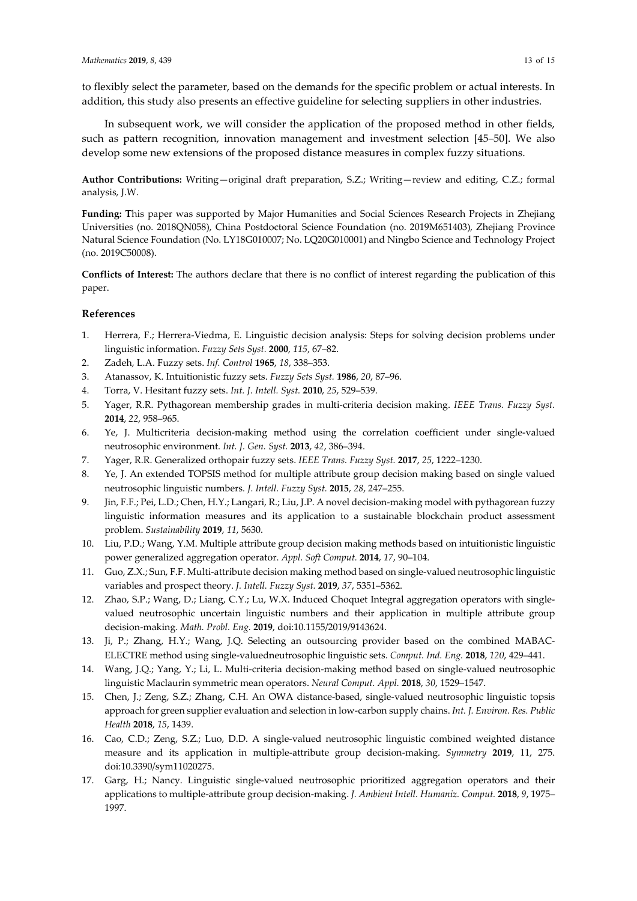to flexibly select the parameter, based on the demands for the specific problem or actual interests. In addition, this study also presents an effective guideline for selecting suppliers in other industries.

In subsequent work, we will consider the application of the proposed method in other fields, such as pattern recognition, innovation management and investment selection [45–50]. We also develop some new extensions of the proposed distance measures in complex fuzzy situations.

**Author Contributions:** Writing—original draft preparation, S.Z.; Writing—review and editing, C.Z.; formal analysis, J.W.

**Funding: T**his paper was supported by Major Humanities and Social Sciences Research Projects in Zhejiang Universities (no. 2018QN058), China Postdoctoral Science Foundation (no. 2019M651403), Zhejiang Province Natural Science Foundation (No. LY18G010007; No. LQ20G010001) and Ningbo Science and Technology Project (no. 2019C50008).

**Conflicts of Interest:** The authors declare that there is no conflict of interest regarding the publication of this paper.

#### **References**

- 1. Herrera, F.; Herrera-Viedma, E. Linguistic decision analysis: Steps for solving decision problems under linguistic information. *Fuzzy Sets Syst.* **2000**, *115*, 67–82.
- 2. Zadeh, L.A. Fuzzy sets. *Inf. Control* **1965**, *18*, 338–353.
- 3. Atanassov, K. Intuitionistic fuzzy sets. *Fuzzy Sets Syst.* **1986**, *20*, 87–96.
- 4. Torra, V. Hesitant fuzzy sets. *Int. J. Intell. Syst.* **2010**, *25*, 529–539.
- 5. Yager, R.R. Pythagorean membership grades in multi-criteria decision making. *IEEE Trans. Fuzzy Syst.*  **2014**, *22*, 958–965.
- 6. Ye, J. Multicriteria decision-making method using the correlation coefficient under single-valued neutrosophic environment. *Int. J. Gen. Syst.* **2013**, *42*, 386–394.
- 7. Yager, R.R. Generalized orthopair fuzzy sets. *IEEE Trans. Fuzzy Syst.* **2017**, *25*, 1222–1230.
- 8. Ye, J. An extended TOPSIS method for multiple attribute group decision making based on single valued neutrosophic linguistic numbers*. J. Intell. Fuzzy Syst.* **2015**, *28*, 247–255.
- 9. Jin, F.F.; Pei, L.D.; Chen, H.Y.; Langari, R.; Liu, J.P. A novel decision-making model with pythagorean fuzzy linguistic information measures and its application to a sustainable blockchain product assessment problem. *Sustainability* **2019**, *11*, 5630.
- 10. Liu, P.D.; Wang, Y.M. Multiple attribute group decision making methods based on intuitionistic linguistic power generalized aggregation operator. *Appl. Soft Comput.* **2014**, *17*, 90–104.
- 11. Guo, Z.X.; Sun, F.F. Multi-attribute decision making method based on single-valued neutrosophic linguistic variables and prospect theory. *J. Intell. Fuzzy Syst.* **2019**, *37*, 5351–5362.
- 12. Zhao, S.P.; Wang, D.; Liang, C.Y.; Lu, W.X. Induced Choquet Integral aggregation operators with singlevalued neutrosophic uncertain linguistic numbers and their application in multiple attribute group decision-making. *Math. Probl. Eng.* **2019**, doi:10.1155/2019/9143624.
- 13. Ji, P.; Zhang, H.Y.; Wang, J.Q. Selecting an outsourcing provider based on the combined MABAC-ELECTRE method using single-valuedneutrosophic linguistic sets. *Comput. Ind. Eng.* **2018**, *120*, 429–441.
- 14. Wang, J.Q.; Yang, Y.; Li, L. Multi-criteria decision-making method based on single-valued neutrosophic linguistic Maclaurin symmetric mean operators. *Neural Comput. Appl.* **2018**, *30*, 1529–1547.
- 15. Chen, J.; Zeng, S.Z.; Zhang, C.H. An OWA distance-based, single-valued neutrosophic linguistic topsis approach for green supplier evaluation and selection in low-carbon supply chains. *Int. J. Environ. Res. Public Health* **2018**, *15*, 1439.
- 16. Cao, C.D.; Zeng, S.Z.; Luo, D.D. A single-valued neutrosophic linguistic combined weighted distance measure and its application in multiple-attribute group decision-making. *Symmetry* **2019**, 11, 275. doi:10.3390/sym11020275.
- 17. Garg, H.; Nancy. Linguistic single-valued neutrosophic prioritized aggregation operators and their applications to multiple-attribute group decision-making. *J. Ambient Intell. Humaniz. Comput.* **2018**, *9*, 1975– 1997.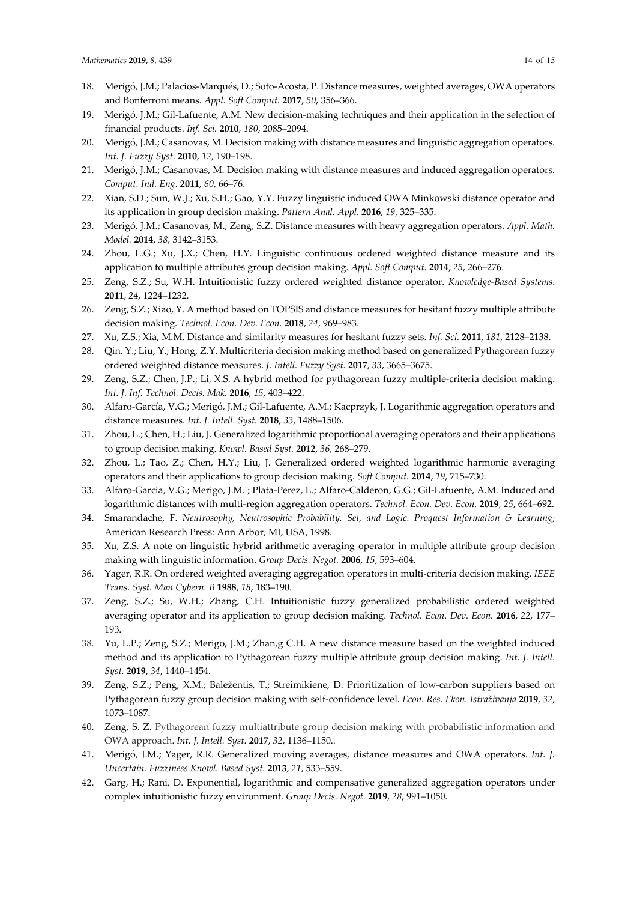- 18. Merigó, J.M.; Palacios-Marqués, D.; Soto-Acosta, P. Distance measures, weighted averages, OWA operators and Bonferroni means. *Appl. Soft Comput.* **2017**, *50*, 356–366.
- 19. Merigó, J.M.; Gil-Lafuente, A.M. New decision-making techniques and their application in the selection of financial products. *Inf. Sci.* **2010**, *180*, 2085–2094.
- 20. Merigó, J.M.; Casanovas, M. Decision making with distance measures and linguistic aggregation operators. *Int. J. Fuzzy Syst*. **2010**, *12*, 190–198.
- 21. Merigó, J.M.; Casanovas, M. Decision making with distance measures and induced aggregation operators. *Comput. Ind. Eng.* **2011**, *60*, 66–76.
- 22. Xian, S.D.; Sun, W.J.; Xu, S.H.; Gao, Y.Y. Fuzzy linguistic induced OWA Minkowski distance operator and its application in group decision making. *Pattern Anal. Appl.* **2016**, *19*, 325–335.
- 23. Merigó, J.M.; Casanovas, M.; Zeng, S.Z. Distance measures with heavy aggregation operators. *Appl. Math. Model.* **2014**, *38*, 3142–3153.
- 24. Zhou, L.G.; Xu, J.X.; Chen, H.Y. Linguistic continuous ordered weighted distance measure and its application to multiple attributes group decision making. *Appl. Soft Comput.* **2014**, *25*, 266–276.
- 25. Zeng, S.Z.; Su, W.H. Intuitionistic fuzzy ordered weighted distance operator. *Knowledge-Based Systems*. **2011**, *24*, 1224–1232.
- 26. Zeng, S.Z.; Xiao, Y. A method based on TOPSIS and distance measures for hesitant fuzzy multiple attribute decision making. *Technol. Econ. Dev. Econ.* **2018**, *24*, 969–983.
- 27. Xu, Z.S.; Xia, M.M. Distance and similarity measures for hesitant fuzzy sets. *Inf. Sci.* **2011**, *181*, 2128–2138.
- 28. Qin. Y.; Liu, Y.; Hong, Z.Y. Multicriteria decision making method based on generalized Pythagorean fuzzy ordered weighted distance measures. *J. Intell. Fuzzy Syst.* **2017**, *33*, 3665–3675.
- 29. Zeng, S.Z.; Chen, J.P.; Li, X.S. A hybrid method for pythagorean fuzzy multiple-criteria decision making. *Int. J. Inf. Technol. Decis. Mak.* **2016**, *15*, 403–422.
- 30. Alfaro-García, V.G.; Merigó, J.M.; Gil-Lafuente, A.M.; Kacprzyk, J. Logarithmic aggregation operators and distance measures. *Int. J. Intell. Syst.* **2018**, *33*, 1488–1506.
- 31. Zhou, L.; Chen, H.; Liu, J. Generalized logarithmic proportional averaging operators and their applications to group decision making. *Knowl. Based Syst.* **2012**, *36*, 268–279.
- 32. Zhou, L.; Tao, Z.; Chen, H.Y.; Liu, J. Generalized ordered weighted logarithmic harmonic averaging operators and their applications to group decision making. *Soft Comput.* **2014**, *19*, 715–730.
- 33. Alfaro-Garcia, V.G.; Merigo, J.M. ; Plata-Perez, L.; Alfaro-Calderon, G.G.; Gil-Lafuente, A.M. Induced and logarithmic distances with multi-region aggregation operators. *Technol. Econ. Dev. Econ.* **2019**, *25*, 664–692.
- 34. Smarandache, F. *Neutrosophy, Neutrosophic Probability, Set, and Logic. Proquest Information & Learning*; American Research Press: Ann Arbor, MI, USA, 1998.
- 35. Xu, Z.S. A note on linguistic hybrid arithmetic averaging operator in multiple attribute group decision making with linguistic information. *Group Decis. Negot.* **2006**, *15*, 593–604.
- 36. Yager, R.R. On ordered weighted averaging aggregation operators in multi-criteria decision making. *IEEE Trans. Syst. Man Cybern. B* **1988**, *18*, 183–190.
- 37. Zeng, S.Z.; Su, W.H.; Zhang, C.H. Intuitionistic fuzzy generalized probabilistic ordered weighted averaging operator and its application to group decision making. *Technol. Econ. Dev. Econ.* **2016**, *22*, 177– 193.
- 38. Yu, L.P.; Zeng, S.Z.; Merigo, J.M.; Zhan,g C.H. A new distance measure based on the weighted induced method and its application to Pythagorean fuzzy multiple attribute group decision making. *Int. J. Intell. Syst.* **2019**, *34*, 1440–1454.
- 39. Zeng, S.Z.; Peng, X.M.; Baležentis, T.; Streimikiene, D. Prioritization of low-carbon suppliers based on Pythagorean fuzzy group decision making with self-confidence level. *Econ. Res. Ekon. Istraživanja* **2019**, *32*, 1073–1087.
- 40. Zeng, S. Z. Pythagorean fuzzy multiattribute group decision making with probabilistic information and OWA approach. *Int. J. Intell. Syst*. **2017**, *32*, 1136–1150..
- 41. Merigó, J.M.; Yager, R.R. Generalized moving averages, distance measures and OWA operators. *Int. J. Uncertain. Fuzziness Knowl. Based Syst.* **2013**, *21*, 533–559.
- 42. Garg, H.; Rani, D. Exponential, logarithmic and compensative generalized aggregation operators under complex intuitionistic fuzzy environment. *Group Decis. Negot.* **2019**, *28*, 991–1050.